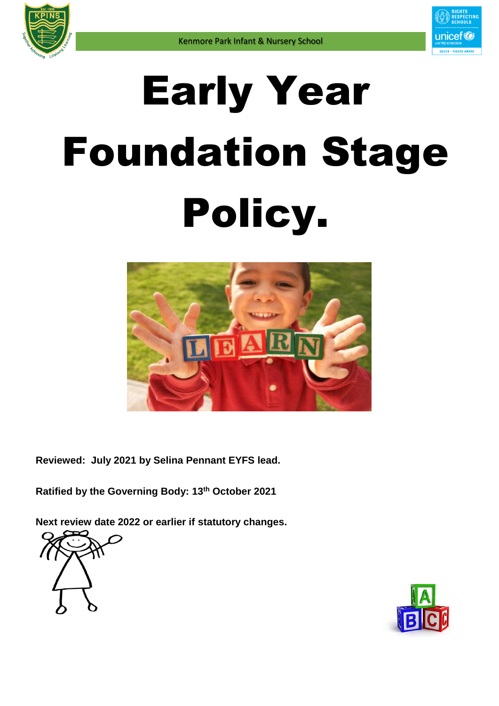



# Early Year Foundation Stage Policy.



**Reviewed: July 2021 by Selina Pennant EYFS lead.**

**Ratified by the Governing Body: 13th October 2021**

**Next review date 2022 or earlier if statutory changes.**



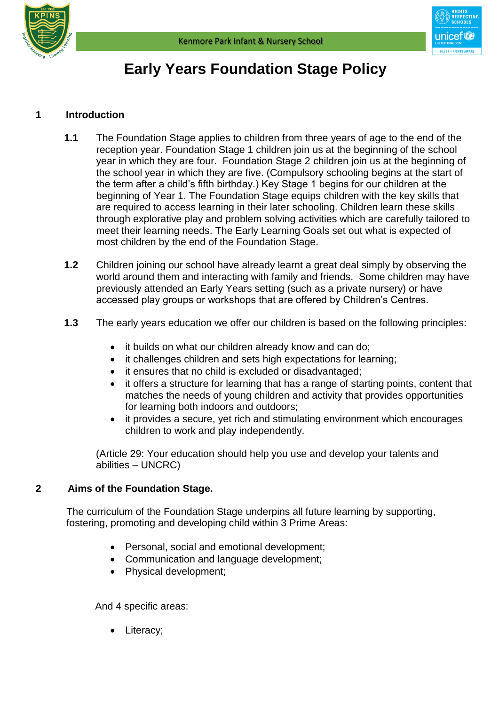

## **Early Years Foundation Stage Policy**

#### **1 Introduction**

- **1.1** The Foundation Stage applies to children from three years of age to the end of the reception year. Foundation Stage 1 children join us at the beginning of the school year in which they are four. Foundation Stage 2 children join us at the beginning of the school year in which they are five. (Compulsory schooling begins at the start of the term after a child's fifth birthday.) Key Stage 1 begins for our children at the beginning of Year 1. The Foundation Stage equips children with the key skills that are required to access learning in their later schooling. Children learn these skills through explorative play and problem solving activities which are carefully tailored to meet their learning needs. The Early Learning Goals set out what is expected of most children by the end of the Foundation Stage.
- **1.2** Children joining our school have already learnt a great deal simply by observing the world around them and interacting with family and friends. Some children may have previously attended an Early Years setting (such as a private nursery) or have accessed play groups or workshops that are offered by Children's Centres.
- **1.3** The early years education we offer our children is based on the following principles:
	- it builds on what our children already know and can do;
	- it challenges children and sets high expectations for learning;
	- it ensures that no child is excluded or disadvantaged;
	- it offers a structure for learning that has a range of starting points, content that matches the needs of young children and activity that provides opportunities for learning both indoors and outdoors;
	- it provides a secure, yet rich and stimulating environment which encourages children to work and play independently.

(Article 29: Your education should help you use and develop your talents and abilities – UNCRC)

#### **2 Aims of the Foundation Stage.**

 The curriculum of the Foundation Stage underpins all future learning by supporting, fostering, promoting and developing child within 3 Prime Areas:

- Personal, social and emotional development;
- Communication and language development;
- Physical development;

And 4 specific areas:

Literacy;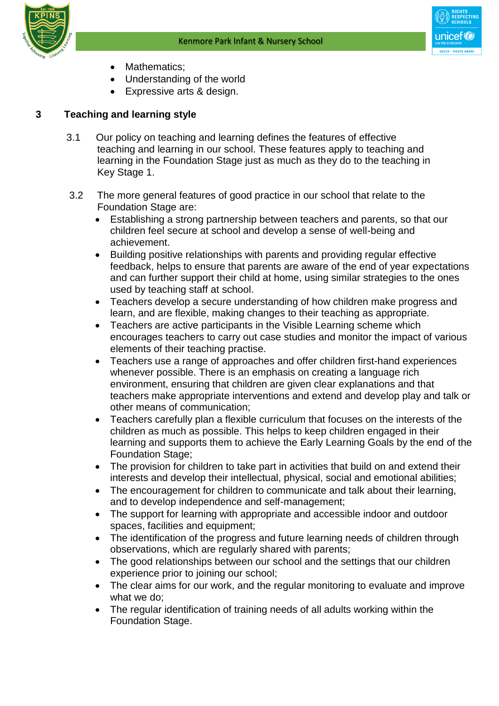

- Mathematics;
- Understanding of the world
- Expressive arts & design.

#### **3 Teaching and learning style**

- 3.1 Our policy on teaching and learning defines the features of effective teaching and learning in our school. These features apply to teaching and learning in the Foundation Stage just as much as they do to the teaching in Key Stage 1.
- 3.2 The more general features of good practice in our school that relate to the Foundation Stage are:
	- Establishing a strong partnership between teachers and parents, so that our children feel secure at school and develop a sense of well-being and achievement.
	- Building positive relationships with parents and providing regular effective feedback, helps to ensure that parents are aware of the end of year expectations and can further support their child at home, using similar strategies to the ones used by teaching staff at school.
	- Teachers develop a secure understanding of how children make progress and learn, and are flexible, making changes to their teaching as appropriate.
	- Teachers are active participants in the Visible Learning scheme which encourages teachers to carry out case studies and monitor the impact of various elements of their teaching practise.
	- Teachers use a range of approaches and offer children first-hand experiences whenever possible. There is an emphasis on creating a language rich environment, ensuring that children are given clear explanations and that teachers make appropriate interventions and extend and develop play and talk or other means of communication;
	- Teachers carefully plan a flexible curriculum that focuses on the interests of the children as much as possible. This helps to keep children engaged in their learning and supports them to achieve the Early Learning Goals by the end of the Foundation Stage;
	- The provision for children to take part in activities that build on and extend their interests and develop their intellectual, physical, social and emotional abilities;
	- The encouragement for children to communicate and talk about their learning, and to develop independence and self-management;
	- The support for learning with appropriate and accessible indoor and outdoor spaces, facilities and equipment;
	- The identification of the progress and future learning needs of children through observations, which are regularly shared with parents;
	- The good relationships between our school and the settings that our children experience prior to joining our school;
	- The clear aims for our work, and the regular monitoring to evaluate and improve what we do;
	- The regular identification of training needs of all adults working within the Foundation Stage.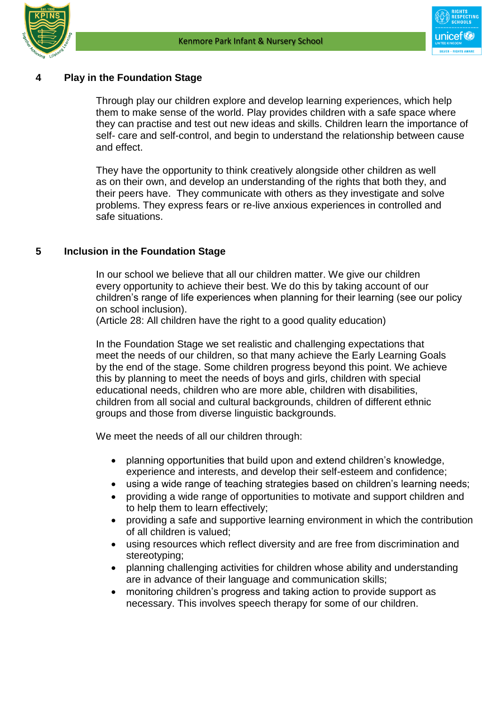



#### **4 Play in the Foundation Stage**

Through play our children explore and develop learning experiences, which help them to make sense of the world. Play provides children with a safe space where they can practise and test out new ideas and skills. Children learn the importance of self- care and self-control, and begin to understand the relationship between cause and effect.

They have the opportunity to think creatively alongside other children as well as on their own, and develop an understanding of the rights that both they, and their peers have. They communicate with others as they investigate and solve problems. They express fears or re-live anxious experiences in controlled and safe situations.

#### **5 Inclusion in the Foundation Stage**

In our school we believe that all our children matter. We give our children every opportunity to achieve their best. We do this by taking account of our children's range of life experiences when planning for their learning (see our policy on school inclusion).

(Article 28: All children have the right to a good quality education)

In the Foundation Stage we set realistic and challenging expectations that meet the needs of our children, so that many achieve the Early Learning Goals by the end of the stage. Some children progress beyond this point. We achieve this by planning to meet the needs of boys and girls, children with special educational needs, children who are more able, children with disabilities, children from all social and cultural backgrounds, children of different ethnic groups and those from diverse linguistic backgrounds.

We meet the needs of all our children through:

- planning opportunities that build upon and extend children's knowledge, experience and interests, and develop their self-esteem and confidence;
- using a wide range of teaching strategies based on children's learning needs;
- providing a wide range of opportunities to motivate and support children and to help them to learn effectively;
- providing a safe and supportive learning environment in which the contribution of all children is valued;
- using resources which reflect diversity and are free from discrimination and stereotyping;
- planning challenging activities for children whose ability and understanding are in advance of their language and communication skills;
- monitoring children's progress and taking action to provide support as necessary. This involves speech therapy for some of our children.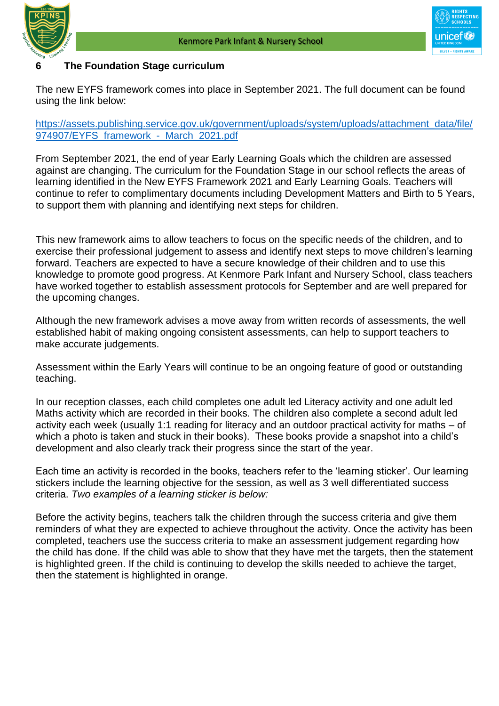



#### **6 The Foundation Stage curriculum**

The new EYFS framework comes into place in September 2021. The full document can be found using the link below:

[https://assets.publishing.service.gov.uk/government/uploads/system/uploads/attachment\\_data/file/](https://assets.publishing.service.gov.uk/government/uploads/system/uploads/attachment_data/file/974907/EYFS_framework_-_March_2021.pdf) 974907/EYFS\_framework - March\_2021.pdf

From September 2021, the end of year Early Learning Goals which the children are assessed against are changing. The curriculum for the Foundation Stage in our school reflects the areas of learning identified in the New EYFS Framework 2021 and Early Learning Goals. Teachers will continue to refer to complimentary documents including Development Matters and Birth to 5 Years, to support them with planning and identifying next steps for children.

This new framework aims to allow teachers to focus on the specific needs of the children, and to exercise their professional judgement to assess and identify next steps to move children's learning forward. Teachers are expected to have a secure knowledge of their children and to use this knowledge to promote good progress. At Kenmore Park Infant and Nursery School, class teachers have worked together to establish assessment protocols for September and are well prepared for the upcoming changes.

Although the new framework advises a move away from written records of assessments, the well established habit of making ongoing consistent assessments, can help to support teachers to make accurate judgements.

Assessment within the Early Years will continue to be an ongoing feature of good or outstanding teaching.

In our reception classes, each child completes one adult led Literacy activity and one adult led Maths activity which are recorded in their books. The children also complete a second adult led activity each week (usually 1:1 reading for literacy and an outdoor practical activity for maths – of which a photo is taken and stuck in their books). These books provide a snapshot into a child's development and also clearly track their progress since the start of the year.

Each time an activity is recorded in the books, teachers refer to the 'learning sticker'. Our learning stickers include the learning objective for the session, as well as 3 well differentiated success criteria. *Two examples of a learning sticker is below:*

Before the activity begins, teachers talk the children through the success criteria and give them reminders of what they are expected to achieve throughout the activity. Once the activity has been completed, teachers use the success criteria to make an assessment judgement regarding how the child has done. If the child was able to show that they have met the targets, then the statement is highlighted green. If the child is continuing to develop the skills needed to achieve the target, then the statement is highlighted in orange.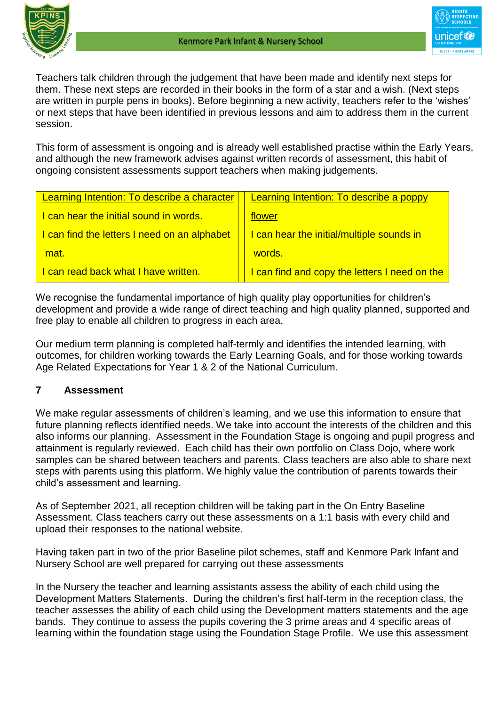



Teachers talk children through the judgement that have been made and identify next steps for them. These next steps are recorded in their books in the form of a star and a wish. (Next steps are written in purple pens in books). Before beginning a new activity, teachers refer to the 'wishes' or next steps that have been identified in previous lessons and aim to address them in the current session.

This form of assessment is ongoing and is already well established practise within the Early Years, and although the new framework advises against written records of assessment, this habit of ongoing consistent assessments support teachers when making judgements.

| Learning Intention: To describe a character  | Learning Intention: To describe a poppy       |
|----------------------------------------------|-----------------------------------------------|
| I can hear the initial sound in words.       | flower                                        |
| I can find the letters I need on an alphabet | I can hear the initial/multiple sounds in     |
| mat.                                         | words.                                        |
| I can read back what I have written.         | I can find and copy the letters I need on the |

We recognise the fundamental importance of high quality play opportunities for children's development and provide a wide range of direct teaching and high quality planned, supported and free play to enable all children to progress in each area. alphabet mat.

Our medium term planning is completed half-termly and identifies the intended learning, with outcomes, for children working towards the Early Learning Goals, and for those working towards Age Related Expectations for Year 1 & 2 of the National Curriculum.

#### **7 Assessment**

We make regular assessments of children's learning, and we use this information to ensure that future planning reflects identified needs. We take into account the interests of the children and this also informs our planning. Assessment in the Foundation Stage is ongoing and pupil progress and attainment is regularly reviewed. Each child has their own portfolio on Class Dojo, where work samples can be shared between teachers and parents. Class teachers are also able to share next steps with parents using this platform. We highly value the contribution of parents towards their child's assessment and learning.

As of September 2021, all reception children will be taking part in the On Entry Baseline Assessment. Class teachers carry out these assessments on a 1:1 basis with every child and upload their responses to the national website.

Having taken part in two of the prior Baseline pilot schemes, staff and Kenmore Park Infant and Nursery School are well prepared for carrying out these assessments

In the Nursery the teacher and learning assistants assess the ability of each child using the Development Matters Statements. During the children's first half-term in the reception class, the teacher assesses the ability of each child using the Development matters statements and the age bands. They continue to assess the pupils covering the 3 prime areas and 4 specific areas of learning within the foundation stage using the Foundation Stage Profile. We use this assessment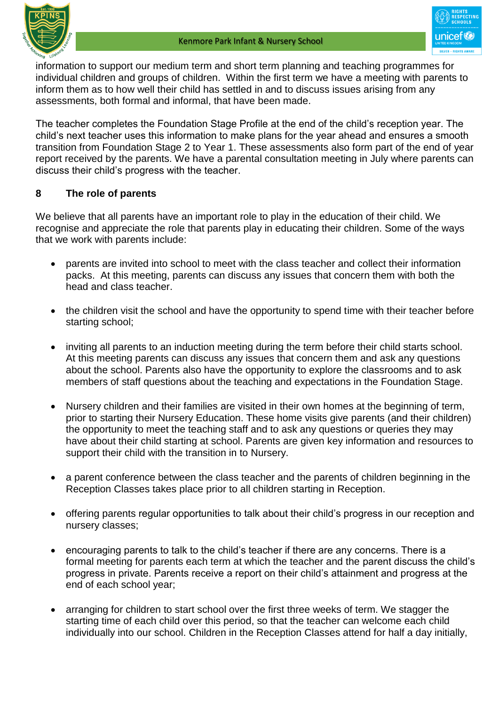



information to support our medium term and short term planning and teaching programmes for individual children and groups of children. Within the first term we have a meeting with parents to inform them as to how well their child has settled in and to discuss issues arising from any assessments, both formal and informal, that have been made.

The teacher completes the Foundation Stage Profile at the end of the child's reception year. The child's next teacher uses this information to make plans for the year ahead and ensures a smooth transition from Foundation Stage 2 to Year 1. These assessments also form part of the end of year report received by the parents. We have a parental consultation meeting in July where parents can discuss their child's progress with the teacher.

#### **8 The role of parents**

We believe that all parents have an important role to play in the education of their child. We recognise and appreciate the role that parents play in educating their children. Some of the ways that we work with parents include:

- parents are invited into school to meet with the class teacher and collect their information packs. At this meeting, parents can discuss any issues that concern them with both the head and class teacher.
- the children visit the school and have the opportunity to spend time with their teacher before starting school;
- inviting all parents to an induction meeting during the term before their child starts school. At this meeting parents can discuss any issues that concern them and ask any questions about the school. Parents also have the opportunity to explore the classrooms and to ask members of staff questions about the teaching and expectations in the Foundation Stage.
- Nursery children and their families are visited in their own homes at the beginning of term, prior to starting their Nursery Education. These home visits give parents (and their children) the opportunity to meet the teaching staff and to ask any questions or queries they may have about their child starting at school. Parents are given key information and resources to support their child with the transition in to Nursery.
- a parent conference between the class teacher and the parents of children beginning in the Reception Classes takes place prior to all children starting in Reception.
- offering parents regular opportunities to talk about their child's progress in our reception and nursery classes;
- encouraging parents to talk to the child's teacher if there are any concerns. There is a formal meeting for parents each term at which the teacher and the parent discuss the child's progress in private. Parents receive a report on their child's attainment and progress at the end of each school year;
- arranging for children to start school over the first three weeks of term. We stagger the starting time of each child over this period, so that the teacher can welcome each child individually into our school. Children in the Reception Classes attend for half a day initially,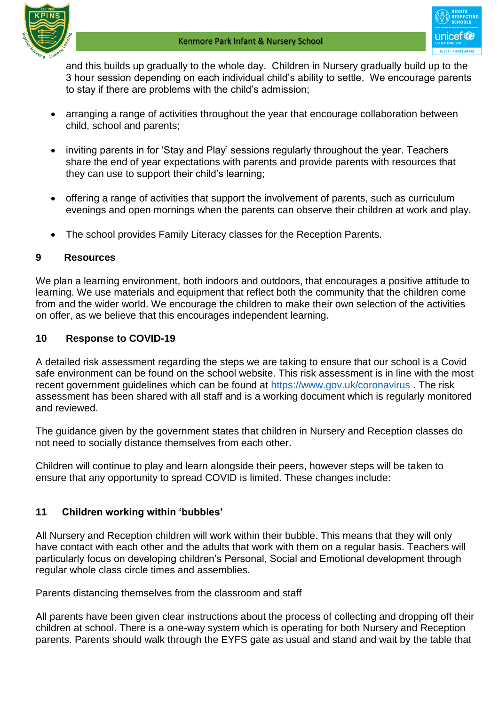

and this builds up gradually to the whole day. Children in Nursery gradually build up to the 3 hour session depending on each individual child's ability to settle. We encourage parents to stay if there are problems with the child's admission;

- arranging a range of activities throughout the year that encourage collaboration between child, school and parents;
- inviting parents in for 'Stay and Play' sessions regularly throughout the year. Teachers share the end of year expectations with parents and provide parents with resources that they can use to support their child's learning;
- offering a range of activities that support the involvement of parents, such as curriculum evenings and open mornings when the parents can observe their children at work and play.
- The school provides Family Literacy classes for the Reception Parents.

#### **9 Resources**

We plan a learning environment, both indoors and outdoors, that encourages a positive attitude to learning. We use materials and equipment that reflect both the community that the children come from and the wider world. We encourage the children to make their own selection of the activities on offer, as we believe that this encourages independent learning.

#### **10 Response to COVID-19**

A detailed risk assessment regarding the steps we are taking to ensure that our school is a Covid safe environment can be found on the school website. This risk assessment is in line with the most recent government guidelines which can be found at<https://www.gov.uk/coronavirus> . The risk assessment has been shared with all staff and is a working document which is regularly monitored and reviewed.

The guidance given by the government states that children in Nursery and Reception classes do not need to socially distance themselves from each other.

Children will continue to play and learn alongside their peers, however steps will be taken to ensure that any opportunity to spread COVID is limited. These changes include:

#### **11 Children working within 'bubbles'**

All Nursery and Reception children will work within their bubble. This means that they will only have contact with each other and the adults that work with them on a regular basis. Teachers will particularly focus on developing children's Personal, Social and Emotional development through regular whole class circle times and assemblies.

Parents distancing themselves from the classroom and staff

All parents have been given clear instructions about the process of collecting and dropping off their children at school. There is a one-way system which is operating for both Nursery and Reception parents. Parents should walk through the EYFS gate as usual and stand and wait by the table that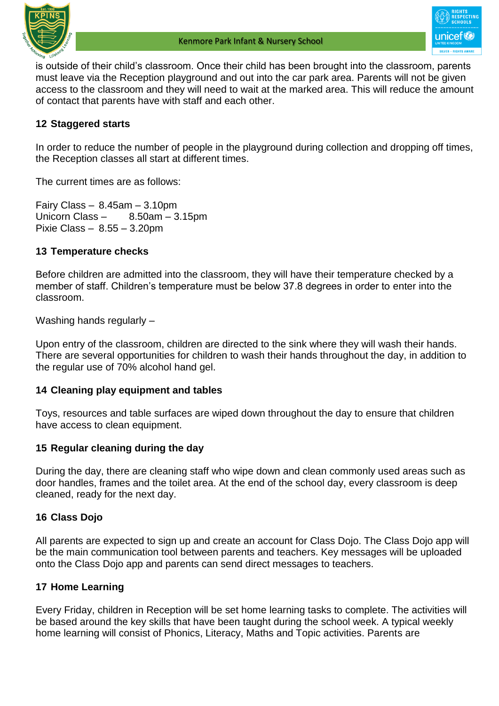



is outside of their child's classroom. Once their child has been brought into the classroom, parents must leave via the Reception playground and out into the car park area. Parents will not be given access to the classroom and they will need to wait at the marked area. This will reduce the amount of contact that parents have with staff and each other.

### **12 Staggered starts**

In order to reduce the number of people in the playground during collection and dropping off times, the Reception classes all start at different times.

The current times are as follows:

Fairy Class – 8.45am – 3.10pm Unicorn Class – 8.50am – 3.15pm Pixie Class – 8.55 – 3.20pm

#### **13 Temperature checks**

Before children are admitted into the classroom, they will have their temperature checked by a member of staff. Children's temperature must be below 37.8 degrees in order to enter into the classroom.

Washing hands regularly –

Upon entry of the classroom, children are directed to the sink where they will wash their hands. There are several opportunities for children to wash their hands throughout the day, in addition to the regular use of 70% alcohol hand gel.

#### **14 Cleaning play equipment and tables**

Toys, resources and table surfaces are wiped down throughout the day to ensure that children have access to clean equipment.

#### **15 Regular cleaning during the day**

During the day, there are cleaning staff who wipe down and clean commonly used areas such as door handles, frames and the toilet area. At the end of the school day, every classroom is deep cleaned, ready for the next day.

#### **16 Class Dojo**

All parents are expected to sign up and create an account for Class Dojo. The Class Dojo app will be the main communication tool between parents and teachers. Key messages will be uploaded onto the Class Dojo app and parents can send direct messages to teachers.

#### **17 Home Learning**

Every Friday, children in Reception will be set home learning tasks to complete. The activities will be based around the key skills that have been taught during the school week. A typical weekly home learning will consist of Phonics, Literacy, Maths and Topic activities. Parents are